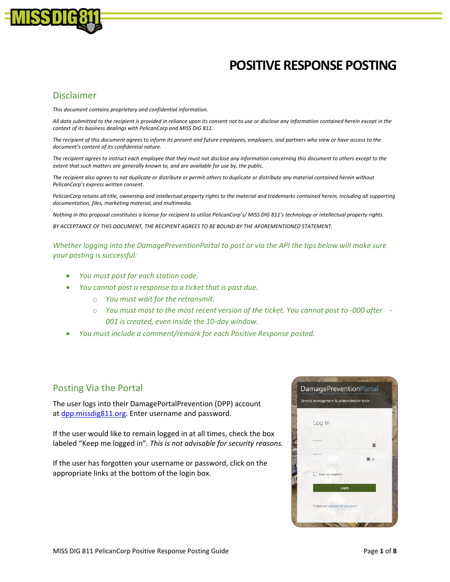

# **POSITIVE RESPONSE POSTING**

### Disclaimer

*This document contains proprietary and confidential information.*

*All data submitted to the recipient is provided in reliance upon its consent not to use or disclose any information contained herein except in the context of its business dealings with PelicanCorp and MISS DIG 811.*

*The recipient of this document agrees to inform its present and future employees, employers, and partners who view or have access to the document's content of its confidential nature.*

*The recipient agrees to instruct each employee that they must not disclose any information concerning this document to others except to the extent that such matters are generally known to, and are available for use by, the public.*

*The recipient also agrees to not duplicate or distribute or permit others to duplicate or distribute any material contained herein without PelicanCorp's express written consent.*

PelicanCorp retains all title, ownership and intellectual property rights to the material and trademarks contained herein, including all supporting *documentation, files, marketing material, and multimedia.*

*Nothing in this proposal constitutes a license for recipient to utilize PelicanCorp's/ MISS DIG 811's technology or intellectual property rights.*

*BY ACCEPTANCE OF THIS DOCUMENT, THE RECIPIENT AGREES TO BE BOUND BY THE AFOREMENTIONED STATEMENT.*

*Whether logging into the DamagePreventionPortal to post or via the API the tips below will make sure your posting is successful:*

- *You must post for each station code.*
- *You cannot post a response to a ticket that is past due.* 
	- o *You must wait for the retransmit.*
	- o *You must most to the most recent version of the ticket. You cannot post to -000 after - 001 is created, even inside the 10-day window.*
- *You must include a comment/remark for each Positive Response posted.*

### Posting Via the Portal

The user logs into their DamagePortalPrevention (DPP) account at [dpp.missdig811.org.](https://dpp.missdig811.org/) Enter username and password.

If the user would like to remain logged in at all times, check the box labeled "Keep me logged in". *This is not advisable for security reasons.* 

If the user has forgotten your username or password, click on the appropriate links at the bottom of the login box.

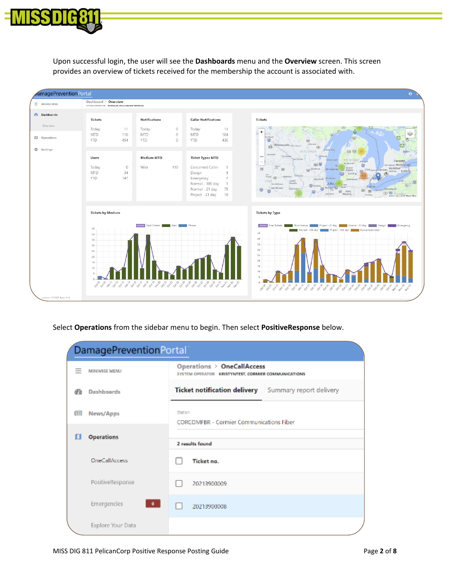

Upon successful login, the user will see the **Dashboards** menu and the **Overview** screen. This screen provides an overview of tickets received for the membership the account is associated with.



Select **Operations** from the sidebar menu to begin. Then select **PositiveResponse** below.

| DamagePreventionPortal |                             |                                                                                    |  |  |  |
|------------------------|-----------------------------|------------------------------------------------------------------------------------|--|--|--|
|                        | <b>MINIMISE MENU</b>        | Operations > OneCallAccess<br>SYSTEM OPERATOR KRISTYNTEST, CORMIER COMMUNICATIONS. |  |  |  |
| æ                      | Dashboards                  | <b>Ticket notification delivery</b><br>Summary report delivery                     |  |  |  |
| E.                     | News/Apps                   | Station<br><b>CORCOMFBR - Cormier Communications Fiber</b>                         |  |  |  |
| ш                      | <b>Operations</b>           |                                                                                    |  |  |  |
|                        |                             | 2 results found                                                                    |  |  |  |
|                        | <b>OrieCallAccess</b>       | Ticket no.                                                                         |  |  |  |
|                        | PositiveResponse            | 20213900009                                                                        |  |  |  |
|                        | Emergencies<br>$\mathbf{0}$ | 20213900008                                                                        |  |  |  |
|                        | Explore Your Data           |                                                                                    |  |  |  |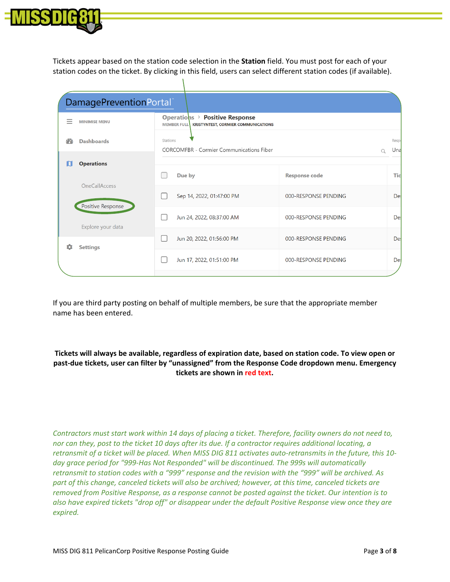

Tickets appear based on the station code selection in the **Station** field. You must post for each of your station codes on the ticket. By clicking in this field, users can select different station codes (if available).

|                                                                                                             | DamagePreventionPortal® |                                                                                                    |                      |                     |
|-------------------------------------------------------------------------------------------------------------|-------------------------|----------------------------------------------------------------------------------------------------|----------------------|---------------------|
| $\overline{\phantom{a}}$                                                                                    | <b>MINIMISE MENU</b>    | Operations > Positive Response<br><b>MEMBER FULL</b><br><b>KRISTYNTEST, CORMIER COMMUNICATIONS</b> |                      |                     |
| <b>Dashboards</b><br>m                                                                                      |                         | Stations<br><b>CORCOMFBR - Cormier Communications Fiber</b>                                        |                      | <b>Respo</b><br>Una |
| <b>Operations</b><br>ш<br><b>OneCallAccess</b><br>Positive Response<br>Explore your data<br><b>Settings</b> |                         |                                                                                                    | Q                    |                     |
|                                                                                                             |                         | Due by                                                                                             | <b>Response code</b> | <b>Tic</b>          |
|                                                                                                             |                         | Sep 14, 2022, 01:47:00 PM                                                                          | 000-RESPONSE PENDING | De:                 |
|                                                                                                             |                         | Jun 24, 2022, 08:37:00 AM                                                                          | 000-RESPONSE PENDING | De:                 |
|                                                                                                             |                         | Jun 20, 2022, 01:56:00 PM                                                                          | 000-RESPONSE PENDING | De:                 |
|                                                                                                             |                         | Jun 17, 2022, 01:51:00 PM                                                                          | 000-RESPONSE PENDING | De:                 |
|                                                                                                             |                         |                                                                                                    |                      |                     |

If you are third party posting on behalf of multiple members, be sure that the appropriate member name has been entered.

#### **Tickets will always be available, regardless of expiration date, based on station code. To view open or past-due tickets, user can filter by "unassigned" from the Response Code dropdown menu. Emergency tickets are shown in red text.**

*Contractors must start work within 14 days of placing a ticket. Therefore, facility owners do not need to, nor can they, post to the ticket 10 days after its due. If a contractor requires additional locating, a retransmit of a ticket will be placed. When MISS DIG 811 activates auto-retransmits in the future, this 10 day grace period for "999-Has Not Responded" will be discontinued. The 999s will automatically retransmit to station codes with a "999" response and the revision with the "999" will be archived. As part of this change, canceled tickets will also be archived; however, at this time, canceled tickets are removed from Positive Response, as a response cannot be posted against the ticket. Our intention is to also have expired tickets "drop off" or disappear under the default Positive Response view once they are expired.*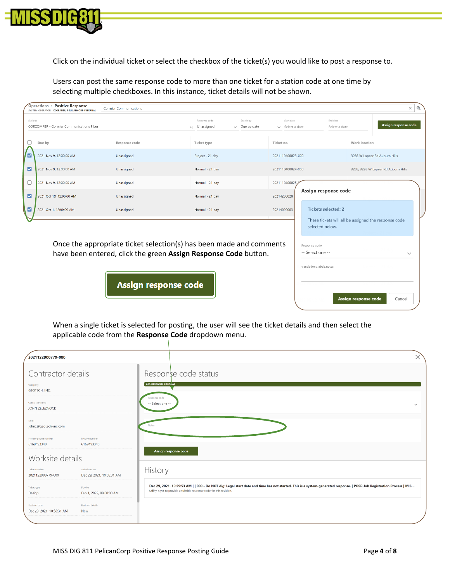

Click on the individual ticket or select the checkbox of the ticket(s) you would like to post a response to.

Users can post the same response code to more than one ticket for a station code at one time by selecting multiple checkboxes. In this instance, ticket details will not be shown.

|          | Operations > Positive Response<br>SYSTEM OPERATOR KCORMIER, PELICANCORP INTERNAL                                                       | <b>Cormier Communications</b> |                                        |                                   |                                                                 |                                                      | $\Theta$<br>×                       |
|----------|----------------------------------------------------------------------------------------------------------------------------------------|-------------------------------|----------------------------------------|-----------------------------------|-----------------------------------------------------------------|------------------------------------------------------|-------------------------------------|
| Stations | CORCOMFBR - Cormier Communications Fiber                                                                                               |                               | Response code<br>Unassigned<br>$\circ$ | Search by<br>$\smile$ Due by date | Start date<br>End date<br>$\vee$ Select a date<br>Select a date |                                                      | Assign response code                |
|          | Due by                                                                                                                                 | Response code                 | Ticket type                            | Ticket no.                        |                                                                 | Work location                                        |                                     |
| ⊽        | 2021 Nov 9, 12:00:00 AM                                                                                                                | Unassigned                    | Project - 21 day                       | 2021110400023-000                 |                                                                 |                                                      | 3285 W Lapeer Rd Auburn Hills       |
| ☑        | 2021 Nov 9, 12:00:00 AM                                                                                                                | Unassigned                    | Normal - 21 day                        | 2021110400024-000                 |                                                                 |                                                      | 3285, 3295 W Lapeer Rd Auburn Hills |
|          | 2021 Nov 9, 12:00:00 AM                                                                                                                | Unassigned                    | Normal - 21 day                        | 2021110400025                     |                                                                 |                                                      |                                     |
| M        | 2021 Oct 18, 12:00:00 AM                                                                                                               | Unassigned                    | Normal - 21 day                        | 20214200020                       | Assign response code                                            |                                                      |                                     |
| ☑        | 2021 Oct 1, 12:00:00 AM                                                                                                                | Unassigned                    | Normal - 21 day                        | 20214000003                       | <b>Tickets selected: 2</b>                                      |                                                      |                                     |
|          |                                                                                                                                        |                               |                                        |                                   | selected below.                                                 | These tickets will all be assigned the response code |                                     |
|          | Once the appropriate ticket selection(s) has been made and comments<br>have been entered, click the green Assign Response Code button. |                               |                                        |                                   | Response code<br>-- Select one --<br>translations.labels.notes  |                                                      | $\checkmark$                        |

Assign response code

Assign response code

When a single ticket is selected for posting, the user will see the ticket details and then select the applicable code from the **Response Code** dropdown menu.

| 2021122900779-000                          |                                           |                                                                                                                                                                                                                                                |              |
|--------------------------------------------|-------------------------------------------|------------------------------------------------------------------------------------------------------------------------------------------------------------------------------------------------------------------------------------------------|--------------|
| Contractor details                         |                                           | Response code status                                                                                                                                                                                                                           |              |
| Company<br><b>GEOTECH, INC.</b>            |                                           | 000-RESPONSE PENDING                                                                                                                                                                                                                           |              |
| Contractor name<br>JOHN ZELEZNOCK          |                                           | Response code<br>-- Select one --                                                                                                                                                                                                              | $\checkmark$ |
| Email<br>johnz@geotech-inc.com             |                                           |                                                                                                                                                                                                                                                |              |
| Primary phone number<br>6169493340         | Mobile number<br>6169493340               |                                                                                                                                                                                                                                                |              |
| Worksite details                           |                                           | Assign response code                                                                                                                                                                                                                           |              |
| Ticket number<br>2021122900779-000         | Submitted on<br>Dec 29, 2021, 10:58:31 AM | History                                                                                                                                                                                                                                        |              |
| <b>Ticket type</b><br>Design               | Due by<br>Feb 1, 2022, 08:00:00 AM        | Dec 29, 2021, 10:59:53 AM     000 - Do NOT dig: Legal start date and time has not started. This is a system-generated response.   POSR Job Registration Process   MIS<br>Utility is yet to provide a suitable response code for this revision. |              |
| Revision date<br>Dec 29, 2021, 10:58:31 AM | <b>Revision details</b><br>New            |                                                                                                                                                                                                                                                |              |

Cancel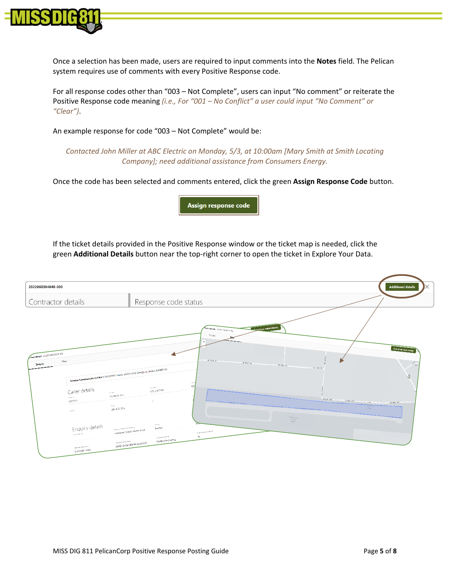

Once a selection has been made, users are required to input comments into the **Notes** field. The Pelican system requires use of comments with every Positive Response code.

For all response codes other than "003 – Not Complete", users can input "No comment" or reiterate the Positive Response code meaning *(i.e., For "001 – No Conflict" a user could input "No Comment" or "Clear")*.

An example response for code "003 – Not Complete" would be:

*Contacted John Miller at ABC Electric on Monday, 5/3, at 10:00am [Mary Smith at Smith Locating Company]; need additional assistance from Consumers Energy.*

Once the code has been selected and comments entered, click the green **Assign Response Code** button.

Assign response code

If the ticket details provided in the Positive Response window or the ticket map is needed, click the green **Additional Details** button near the top-right corner to open the ticket in Explore Your Data.

| 2022060304040-000                                                                                                                                                                                                                                                                                                                                                                                                                                                                                                                           | <b>Additional details</b>                                                                                                                                                                                                                                                                                                                                                                                                                                                                                                                                                                                                                                                |
|---------------------------------------------------------------------------------------------------------------------------------------------------------------------------------------------------------------------------------------------------------------------------------------------------------------------------------------------------------------------------------------------------------------------------------------------------------------------------------------------------------------------------------------------|--------------------------------------------------------------------------------------------------------------------------------------------------------------------------------------------------------------------------------------------------------------------------------------------------------------------------------------------------------------------------------------------------------------------------------------------------------------------------------------------------------------------------------------------------------------------------------------------------------------------------------------------------------------------------|
| Contractor details                                                                                                                                                                                                                                                                                                                                                                                                                                                                                                                          | Response code status                                                                                                                                                                                                                                                                                                                                                                                                                                                                                                                                                                                                                                                     |
| Cket details 2022051600010 000<br>Map<br>Details<br>Committe Communications Fiber CORCOMERS, Phone: 248370 GA42 Emergency phone: 2486887133<br>Caller details<br>Cortach.<br>Stephanie Boe<br>cate 12<br>2000373<br>$\label{eq:1.1} \varphi_{\alpha\beta}=\varphi_{\alpha\beta}=\varphi_{\alpha\beta}=\varphi_{\alpha\beta}$<br>algont.<br>248-555-1212<br>sacile<br>Enquiry details<br>working enhanced of subscrip-<br>Contractor (Subcontractor only)<br><b>Darrelewer</b><br>INTERFET DOING VICE<br>NEWER CROSS street<br>E AIRPORT HWY | <b>DAMINICAN UCKET details</b><br><b>ficiret details</b> 2000 autores and<br>Details<br>$+$<br>Download ticket detail<br>W Park Dr<br>W Park Dr<br>$\frac{q^2}{\sqrt{2}}$<br>W Park Dr<br>W Park Dr<br>园<br>(die)<br>123<br>company.<br>COLELECTRIC<br>Airport Rd<br>Arport Rd<br>Airport Rd<br>$\times$<br>2700<br>$\begin{array}{c} \mathcal{P}(\mathfrak{e} \mathfrak{z})_{\mathcal{Q}} \mathfrak{z}_{\mathcal{Q}} \\ \mathcal{E}(\mathfrak{z},\mathfrak{z}) \\ \mathcal{A}(\mathfrak{z} \mathfrak{z}) \\ \mathcal{R} \end{array}$<br>visity<br>Normal<br>is the reen pre-marine?<br>No<br><b>Desveton Mythod</b><br>Machine Excavating<br>JAMES ENGINEERING & SURVEY |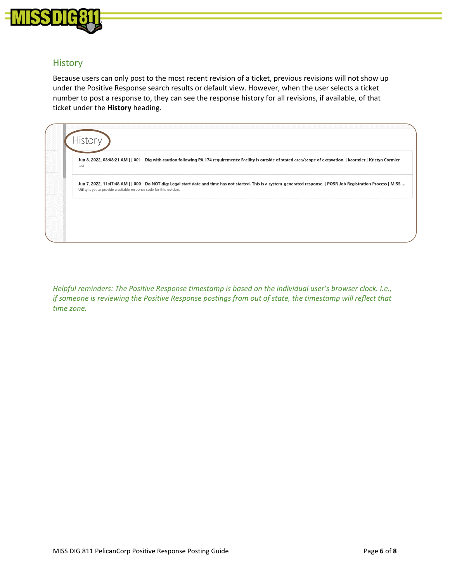

## **History**

Because users can only post to the most recent revision of a ticket, previous revisions will not show up under the Positive Response search results or default view. However, when the user selects a ticket number to post a response to, they can see the response history for all revisions, if available, of that ticket under the **History** heading.



*Helpful reminders: The Positive Response timestamp is based on the individual user's browser clock. I.e., if someone is reviewing the Positive Response postings from out of state, the timestamp will reflect that time zone.*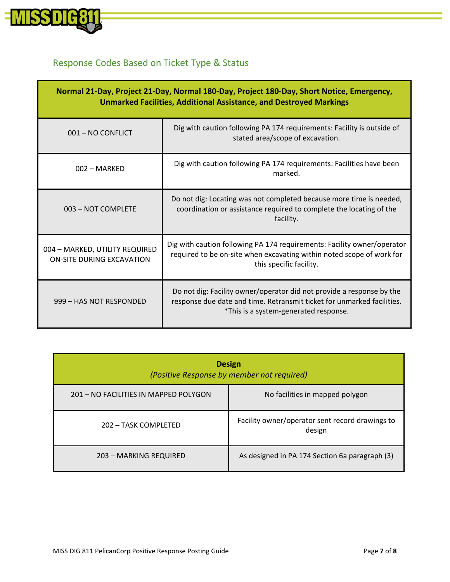

# Response Codes Based on Ticket Type & Status

| Normal 21-Day, Project 21-Day, Normal 180-Day, Project 180-Day, Short Notice, Emergency,<br><b>Unmarked Facilities, Additional Assistance, and Destroyed Markings</b> |                                                                                                                                                                                          |  |  |
|-----------------------------------------------------------------------------------------------------------------------------------------------------------------------|------------------------------------------------------------------------------------------------------------------------------------------------------------------------------------------|--|--|
| 001 - NO CONFLICT                                                                                                                                                     | Dig with caution following PA 174 requirements: Facility is outside of<br>stated area/scope of excavation.                                                                               |  |  |
| $002 - \text{MARKED}$                                                                                                                                                 | Dig with caution following PA 174 requirements: Facilities have been<br>marked.                                                                                                          |  |  |
| 003 - NOT COMPLETE                                                                                                                                                    | Do not dig: Locating was not completed because more time is needed,<br>coordination or assistance required to complete the locating of the<br>facility.                                  |  |  |
| 004 - MARKED, UTILITY REQUIRED<br><b>ON-SITE DURING EXCAVATION</b>                                                                                                    | Dig with caution following PA 174 requirements: Facility owner/operator<br>required to be on-site when excavating within noted scope of work for<br>this specific facility.              |  |  |
| 999 - HAS NOT RESPONDED                                                                                                                                               | Do not dig: Facility owner/operator did not provide a response by the<br>response due date and time. Retransmit ticket for unmarked facilities.<br>*This is a system-generated response. |  |  |

| <b>Design</b><br>(Positive Response by member not required) |                                                           |  |  |
|-------------------------------------------------------------|-----------------------------------------------------------|--|--|
| 201 – NO FACILITIES IN MAPPED POLYGON                       | No facilities in mapped polygon                           |  |  |
| 202 - TASK COMPLETED                                        | Facility owner/operator sent record drawings to<br>design |  |  |
| 203 - MARKING REQUIRED                                      | As designed in PA 174 Section 6a paragraph (3)            |  |  |